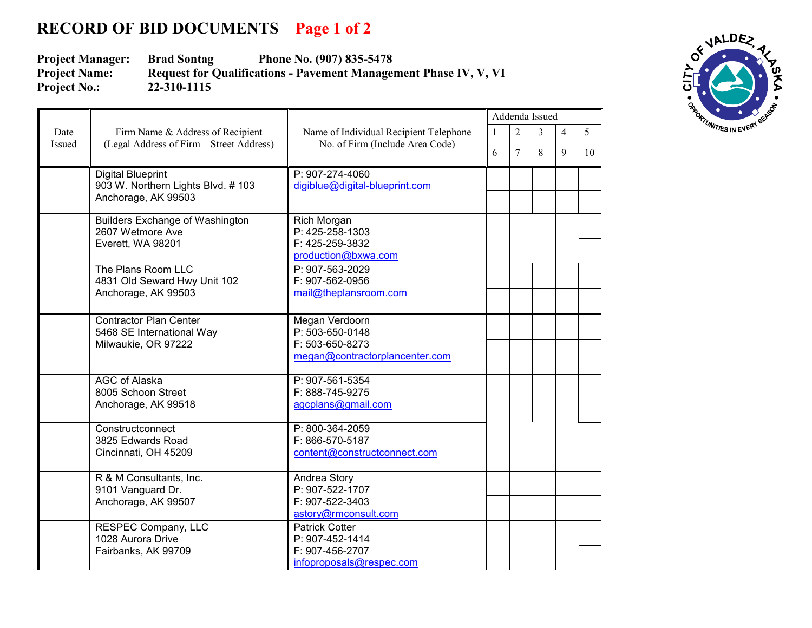## **RECORD OF BID DOCUMENTS Page 1 of 2**

**Project Manager: Brad Sontag Phone No. (907) 835-5478**<br>**Project Name: Request for Qualifications - Pavement Manager Request for Qualifications - Pavement Management Phase IV, V, VI** 22-310-1115 **Project No.:** 

|                       |                                                                                      |                                                                           | Addenda Issued |                |                |                |                |
|-----------------------|--------------------------------------------------------------------------------------|---------------------------------------------------------------------------|----------------|----------------|----------------|----------------|----------------|
| Date<br><b>Issued</b> | Firm Name & Address of Recipient<br>(Legal Address of Firm - Street Address)         | Name of Individual Recipient Telephone<br>No. of Firm (Include Area Code) | 1              | $\overline{2}$ | $\overline{3}$ | $\overline{4}$ | 5 <sup>5</sup> |
|                       |                                                                                      |                                                                           | 6              | $\overline{7}$ | 8              | $\mathbf Q$    | 10             |
|                       | <b>Digital Blueprint</b><br>903 W. Northern Lights Blvd. #103<br>Anchorage, AK 99503 | P: 907-274-4060<br>digiblue@digital-blueprint.com                         |                |                |                |                |                |
|                       |                                                                                      |                                                                           |                |                |                |                |                |
|                       | <b>Builders Exchange of Washington</b><br>2607 Wetmore Ave                           | Rich Morgan<br>P: 425-258-1303                                            |                |                |                |                |                |
|                       | Everett, WA 98201                                                                    | F: 425-259-3832                                                           |                |                |                |                |                |
|                       | The Plans Room LLC                                                                   | production@bxwa.com<br>P: 907-563-2029                                    |                |                |                |                |                |
|                       | 4831 Old Seward Hwy Unit 102<br>Anchorage, AK 99503                                  | F: 907-562-0956<br>mail@theplansroom.com                                  |                |                |                |                |                |
|                       |                                                                                      |                                                                           |                |                |                |                |                |
|                       | <b>Contractor Plan Center</b><br>5468 SE International Way                           | Megan Verdoorn<br>P: 503-650-0148                                         |                |                |                |                |                |
|                       | Milwaukie, OR 97222                                                                  | F: 503-650-8273<br>megan@contractorplancenter.com                         |                |                |                |                |                |
|                       |                                                                                      |                                                                           |                |                |                |                |                |
|                       | <b>AGC of Alaska</b><br>8005 Schoon Street<br>Anchorage, AK 99518                    | P: 907-561-5354<br>F: 888-745-9275<br>agcplans@gmail.com                  |                |                |                |                |                |
|                       |                                                                                      |                                                                           |                |                |                |                |                |
|                       | Constructconnect<br>3825 Edwards Road                                                | P: 800-364-2059<br>F: 866-570-5187                                        |                |                |                |                |                |
|                       | Cincinnati, OH 45209                                                                 | content@constructconnect.com                                              |                |                |                |                |                |
|                       | R & M Consultants, Inc.                                                              | Andrea Story                                                              |                |                |                |                |                |
|                       | 9101 Vanguard Dr.<br>Anchorage, AK 99507                                             | P: 907-522-1707<br>F: 907-522-3403                                        |                |                |                |                |                |
|                       |                                                                                      | astory@rmconsult.com                                                      |                |                |                |                |                |
|                       | <b>RESPEC Company, LLC</b><br>1028 Aurora Drive                                      | <b>Patrick Cotter</b><br>P: 907-452-1414                                  |                |                |                |                |                |
|                       | Fairbanks, AK 99709                                                                  | F: 907-456-2707<br>infoproposals@respec.com                               |                |                |                |                |                |